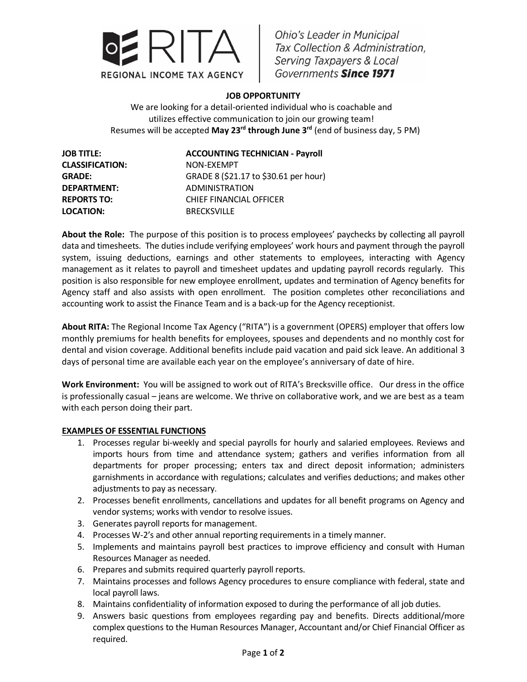

**Ohio's Leader in Municipal** Tax Collection & Administration, Serving Taxpayers & Local Governments Since 1971

## **JOB OPPORTUNITY**

We are looking for a detail-oriented individual who is coachable and utilizes effective communication to join our growing team! Resumes will be accepted **May 23rd through June 3rd** (end of business day, 5 PM)

**CLASSIFICATION:** NON-EXEMPT **LOCATION:** BRECKSVILLE

## **JOB TITLE: ACCOUNTING TECHNICIAN - Payroll**

**GRADE:** GRADE 8 (\$21.17 to \$30.61 per hour) **DEPARTMENT:** ADMINISTRATION **REPORTS TO:** CHIEF FINANCIAL OFFICER

**About the Role:** The purpose of this position is to process employees' paychecks by collecting all payroll data and timesheets. The duties include verifying employees' work hours and payment through the payroll system, issuing deductions, earnings and other statements to employees, interacting with Agency management as it relates to payroll and timesheet updates and updating payroll records regularly. This position is also responsible for new employee enrollment, updates and termination of Agency benefits for Agency staff and also assists with open enrollment. The position completes other reconciliations and accounting work to assist the Finance Team and is a back-up for the Agency receptionist.

**About RITA:** The Regional Income Tax Agency ("RITA") is a government (OPERS) employer that offers low monthly premiums for health benefits for employees, spouses and dependents and no monthly cost for dental and vision coverage. Additional benefits include paid vacation and paid sick leave. An additional 3 days of personal time are available each year on the employee's anniversary of date of hire.

**Work Environment:** You will be assigned to work out of RITA's Brecksville office. Our dress in the office is professionally casual – jeans are welcome. We thrive on collaborative work, and we are best as a team with each person doing their part.

## **EXAMPLES OF ESSENTIAL FUNCTIONS**

- 1. Processes regular bi-weekly and special payrolls for hourly and salaried employees. Reviews and imports hours from time and attendance system; gathers and verifies information from all departments for proper processing; enters tax and direct deposit information; administers garnishments in accordance with regulations; calculates and verifies deductions; and makes other adjustments to pay as necessary.
- 2. Processes benefit enrollments, cancellations and updates for all benefit programs on Agency and vendor systems; works with vendor to resolve issues.
- 3. Generates payroll reports for management.
- 4. Processes W-2's and other annual reporting requirements in a timely manner.
- 5. Implements and maintains payroll best practices to improve efficiency and consult with Human Resources Manager as needed.
- 6. Prepares and submits required quarterly payroll reports.
- 7. Maintains processes and follows Agency procedures to ensure compliance with federal, state and local payroll laws.
- 8. Maintains confidentiality of information exposed to during the performance of all job duties.
- 9. Answers basic questions from employees regarding pay and benefits. Directs additional/more complex questions to the Human Resources Manager, Accountant and/or Chief Financial Officer as required.